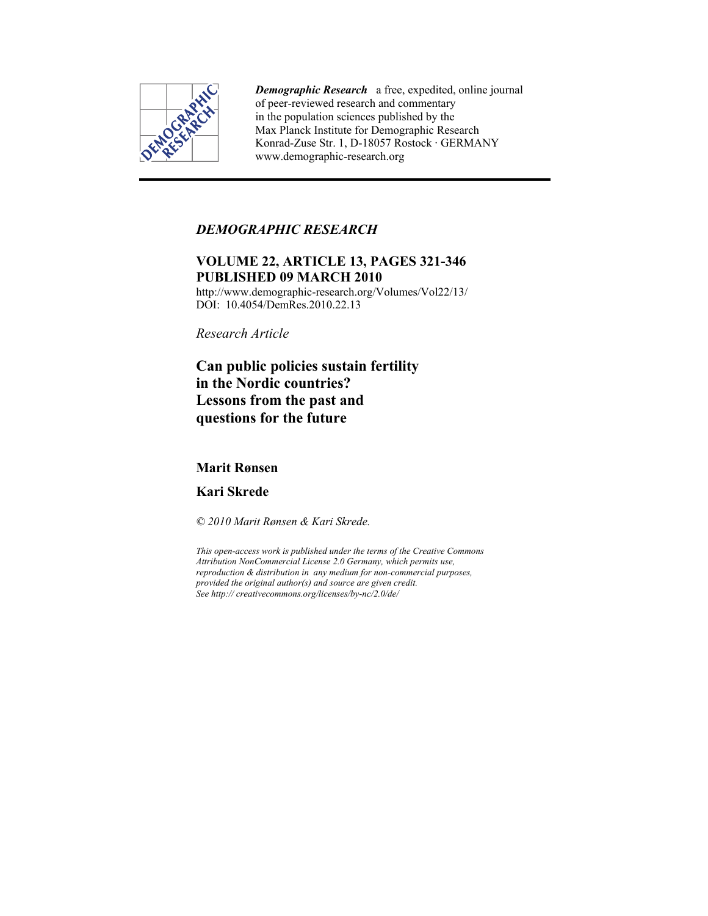

*Demographic Research* a free, expedited, online journal of peer-reviewed research and commentary in the population sciences published by the Max Planck Institute for Demographic Research Konrad-Zuse Str. 1, D-18057 Rostock · GERMANY www.demographic-research.org

## *DEMOGRAPHIC RESEARCH*

# **VOLUME 22, ARTICLE 13, PAGES 321-346 PUBLISHED 09 MARCH 2010**

http://www.demographic-research.org/Volumes/Vol22/13/ DOI: 10.4054/DemRes. 2010.22.13

*Research Article* 

**Can public policies sustain fertility in the Nordic countries? Lessons from the past and questions for the future** 

## **Marit Rønsen**

**Kari Skrede** 

*© 2010 Marit Rønsen & Kari Skrede.* 

*This open-access work is published under the terms of the Creative Commons Attribution NonCommercial License 2.0 Germany, which permits use, reproduction & distribution in any medium for non-commercial purposes, provided the original author(s) and source are given credit. See http:// creativecommons.org/licenses/by-nc/2.0/de/*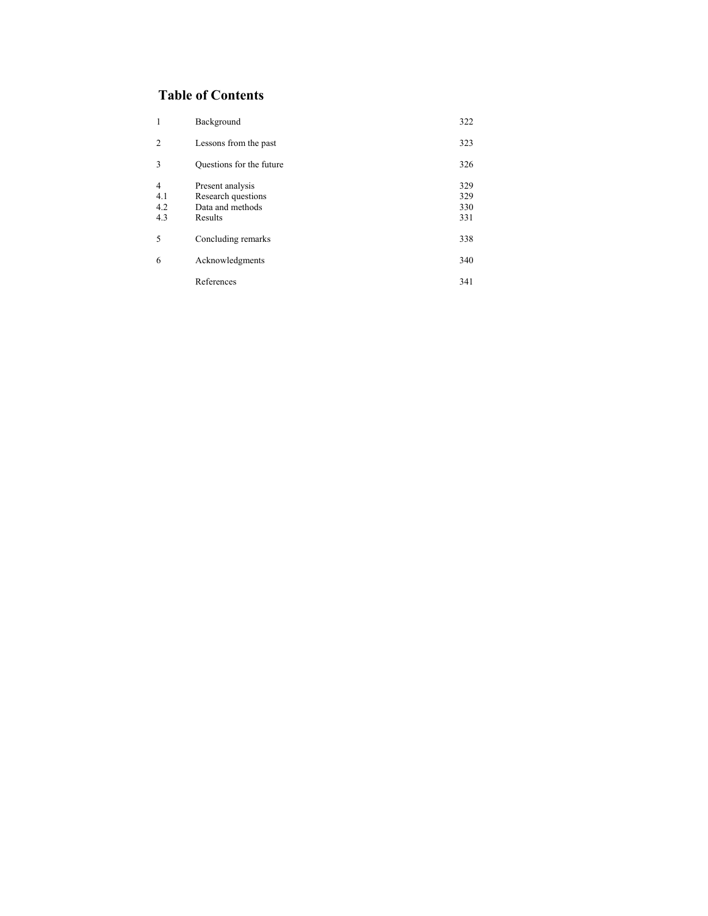# **Table of Contents**

| 1                                   | Background                                                            | 322                      |
|-------------------------------------|-----------------------------------------------------------------------|--------------------------|
| 2                                   | Lessons from the past                                                 | 323                      |
| 3                                   | Questions for the future                                              | 326                      |
| $\overline{4}$<br>4.1<br>4.2<br>4.3 | Present analysis<br>Research questions<br>Data and methods<br>Results | 329<br>329<br>330<br>331 |
| 5                                   | Concluding remarks                                                    | 338                      |
| 6                                   | Acknowledgments                                                       | 340                      |
|                                     | References                                                            | 341                      |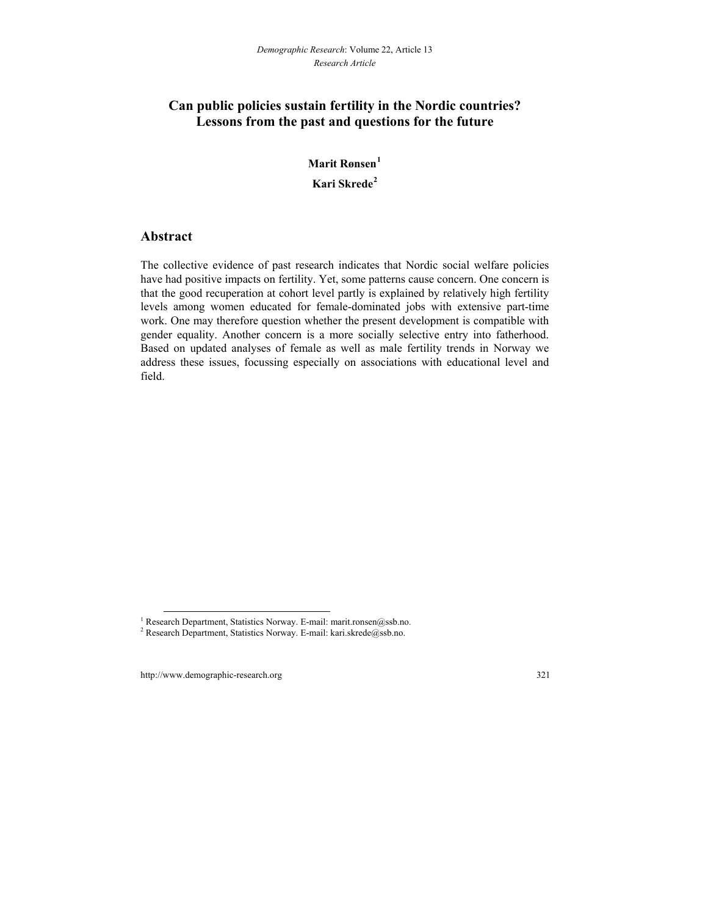## **Can public policies sustain fertility in the Nordic countries? Lessons from the past and questions for the future**

# **Marit Rønsen[1](#page-2-0) Kari Skrede[2](#page-2-1)**

## **Abstract**

The collective evidence of past research indicates that Nordic social welfare policies have had positive impacts on fertility. Yet, some patterns cause concern. One concern is that the good recuperation at cohort level partly is explained by relatively high fertility levels among women educated for female-dominated jobs with extensive part-time work. One may therefore question whether the present development is compatible with gender equality. Another concern is a more socially selective entry into fatherhood. Based on updated analyses of female as well as male fertility trends in Norway we address these issues, focussing especially on associations with educational level and field.

l

<sup>&</sup>lt;sup>1</sup> Research Department, Statistics Norway. E-mail: marit.ronsen@ssb.no.<br><sup>2</sup> Research Department, Statistics Norway. E-mail: kari.skrede@ssb.no.

<span id="page-2-1"></span><span id="page-2-0"></span><sup>&</sup>lt;sup>2</sup> Research Department, Statistics Norway. E-mail: kari.skrede@ssb.no.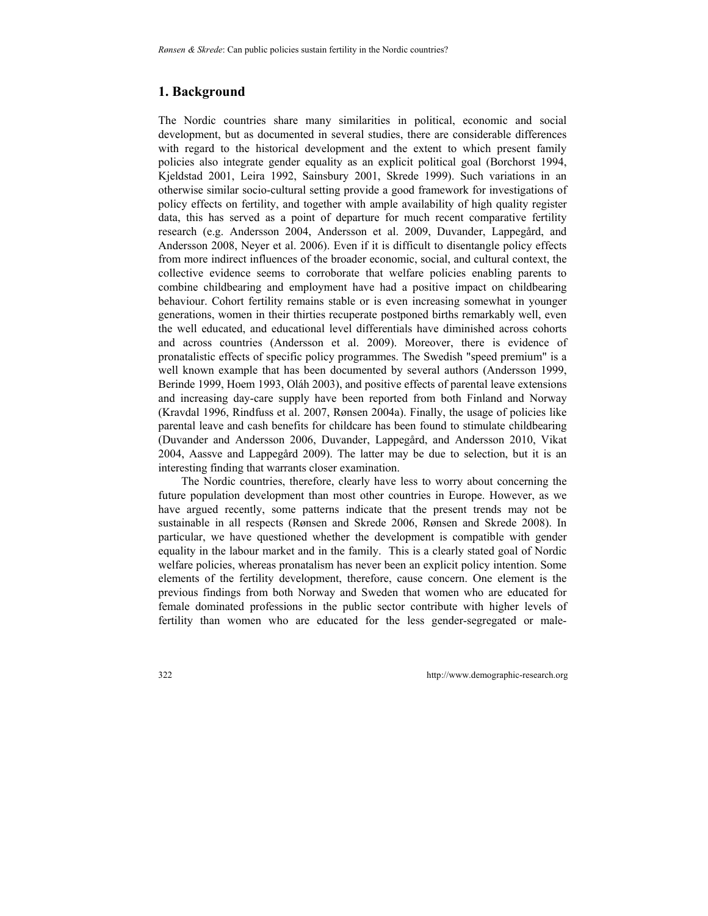## **1. Background**

The Nordic countries share many similarities in political, economic and social development, but as documented in several studies, there are considerable differences with regard to the historical development and the extent to which present family policies also integrate gender equality as an explicit political goal (Borchorst 1994, Kjeldstad 2001, Leira 1992, Sainsbury 2001, Skrede 1999). Such variations in an otherwise similar socio-cultural setting provide a good framework for investigations of policy effects on fertility, and together with ample availability of high quality register data, this has served as a point of departure for much recent comparative fertility research (e.g. Andersson 2004, Andersson et al. 2009, Duvander, Lappegård, and Andersson 2008, Neyer et al. 2006). Even if it is difficult to disentangle policy effects from more indirect influences of the broader economic, social, and cultural context, the collective evidence seems to corroborate that welfare policies enabling parents to combine childbearing and employment have had a positive impact on childbearing behaviour. Cohort fertility remains stable or is even increasing somewhat in younger generations, women in their thirties recuperate postponed births remarkably well, even the well educated, and educational level differentials have diminished across cohorts and across countries (Andersson et al. 2009). Moreover, there is evidence of pronatalistic effects of specific policy programmes. The Swedish "speed premium" is a well known example that has been documented by several authors (Andersson 1999, Berinde 1999, Hoem 1993, Oláh 2003), and positive effects of parental leave extensions and increasing day-care supply have been reported from both Finland and Norway (Kravdal 1996, Rindfuss et al. 2007, Rønsen 2004a). Finally, the usage of policies like parental leave and cash benefits for childcare has been found to stimulate childbearing (Duvander and Andersson 2006, Duvander, Lappegård, and Andersson 2010, Vikat 2004, Aassve and Lappegård 2009). The latter may be due to selection, but it is an interesting finding that warrants closer examination.

The Nordic countries, therefore, clearly have less to worry about concerning the future population development than most other countries in Europe. However, as we have argued recently, some patterns indicate that the present trends may not be sustainable in all respects (Rønsen and Skrede 2006, Rønsen and Skrede 2008). In particular, we have questioned whether the development is compatible with gender equality in the labour market and in the family. This is a clearly stated goal of Nordic welfare policies, whereas pronatalism has never been an explicit policy intention. Some elements of the fertility development, therefore, cause concern. One element is the previous findings from both Norway and Sweden that women who are educated for female dominated professions in the public sector contribute with higher levels of fertility than women who are educated for the less gender-segregated or male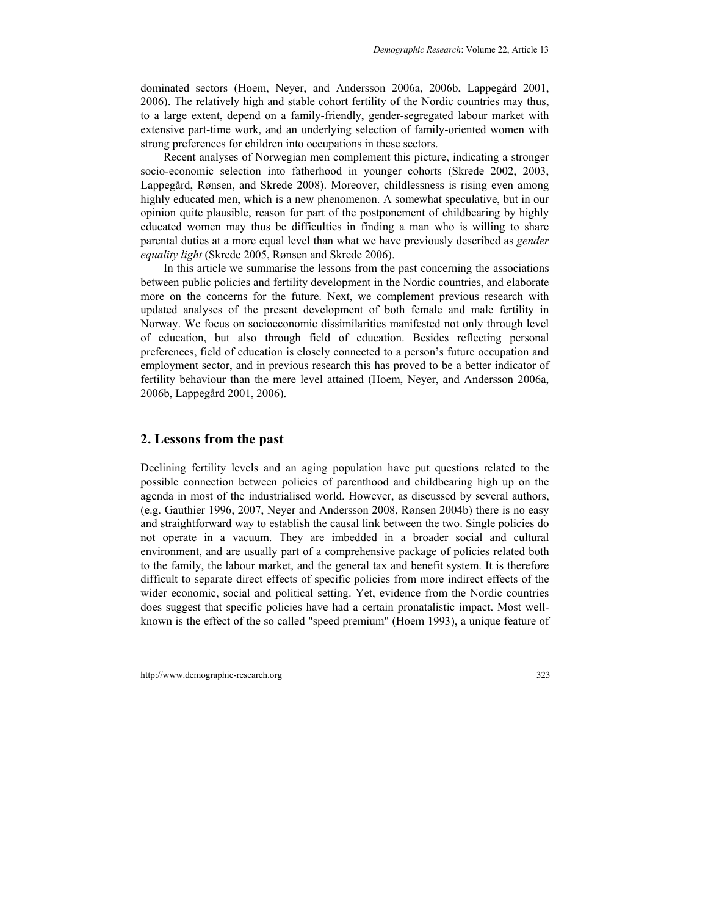dominated sectors (Hoem, Neyer, and Andersson 2006a, 2006b, Lappegård 2001, 2006). The relatively high and stable cohort fertility of the Nordic countries may thus, to a large extent, depend on a family-friendly, gender-segregated labour market with extensive part-time work, and an underlying selection of family-oriented women with strong preferences for children into occupations in these sectors.

Recent analyses of Norwegian men complement this picture, indicating a stronger socio-economic selection into fatherhood in younger cohorts (Skrede 2002, 2003, Lappegård, Rønsen, and Skrede 2008). Moreover, childlessness is rising even among highly educated men, which is a new phenomenon. A somewhat speculative, but in our opinion quite plausible, reason for part of the postponement of childbearing by highly educated women may thus be difficulties in finding a man who is willing to share parental duties at a more equal level than what we have previously described as *gender equality light* (Skrede 2005, Rønsen and Skrede 2006).

In this article we summarise the lessons from the past concerning the associations between public policies and fertility development in the Nordic countries, and elaborate more on the concerns for the future. Next, we complement previous research with updated analyses of the present development of both female and male fertility in Norway. We focus on socioeconomic dissimilarities manifested not only through level of education, but also through field of education. Besides reflecting personal preferences, field of education is closely connected to a person's future occupation and employment sector, and in previous research this has proved to be a better indicator of fertility behaviour than the mere level attained (Hoem, Neyer, and Andersson 2006a, 2006b, Lappegård 2001, 2006).

#### **2. Lessons from the past**

Declining fertility levels and an aging population have put questions related to the possible connection between policies of parenthood and childbearing high up on the agenda in most of the industrialised world. However, as discussed by several authors, (e.g. Gauthier 1996, 2007, Neyer and Andersson 2008, Rønsen 2004b) there is no easy and straightforward way to establish the causal link between the two. Single policies do not operate in a vacuum. They are imbedded in a broader social and cultural environment, and are usually part of a comprehensive package of policies related both to the family, the labour market, and the general tax and benefit system. It is therefore difficult to separate direct effects of specific policies from more indirect effects of the wider economic, social and political setting. Yet, evidence from the Nordic countries does suggest that specific policies have had a certain pronatalistic impact. Most wellknown is the effect of the so called "speed premium" (Hoem 1993), a unique feature of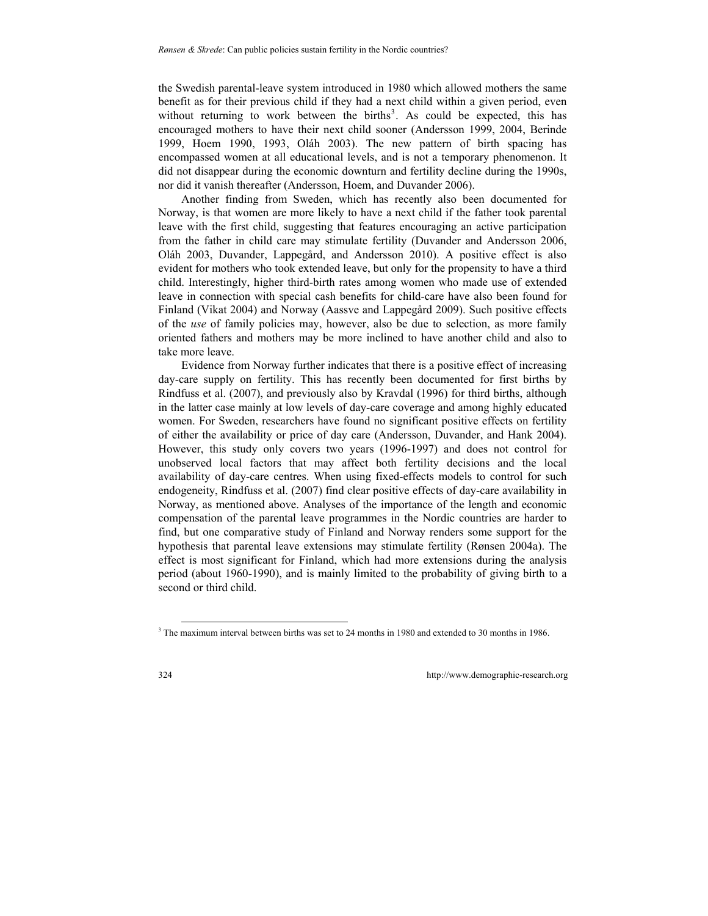the Swedish parental-leave system introduced in 1980 which allowed mothers the same benefit as for their previous child if they had a next child within a given period, even without returning to work between the births<sup>[3](#page-5-0)</sup>. As could be expected, this has encouraged mothers to have their next child sooner (Andersson 1999, 2004, Berinde 1999, Hoem 1990, 1993, Oláh 2003). The new pattern of birth spacing has encompassed women at all educational levels, and is not a temporary phenomenon. It did not disappear during the economic downturn and fertility decline during the 1990s, nor did it vanish thereafter (Andersson, Hoem, and Duvander 2006).

Another finding from Sweden, which has recently also been documented for Norway, is that women are more likely to have a next child if the father took parental leave with the first child, suggesting that features encouraging an active participation from the father in child care may stimulate fertility (Duvander and Andersson 2006, Oláh 2003, Duvander, Lappegård, and Andersson 2010). A positive effect is also evident for mothers who took extended leave, but only for the propensity to have a third child. Interestingly, higher third-birth rates among women who made use of extended leave in connection with special cash benefits for child-care have also been found for Finland (Vikat 2004) and Norway (Aassve and Lappegård 2009). Such positive effects of the *use* of family policies may, however, also be due to selection, as more family oriented fathers and mothers may be more inclined to have another child and also to take more leave.

Evidence from Norway further indicates that there is a positive effect of increasing day-care supply on fertility. This has recently been documented for first births by Rindfuss et al. (2007), and previously also by Kravdal (1996) for third births, although in the latter case mainly at low levels of day-care coverage and among highly educated women. For Sweden, researchers have found no significant positive effects on fertility of either the availability or price of day care (Andersson, Duvander, and Hank 2004). However, this study only covers two years (1996-1997) and does not control for unobserved local factors that may affect both fertility decisions and the local availability of day-care centres. When using fixed-effects models to control for such endogeneity, Rindfuss et al. (2007) find clear positive effects of day-care availability in Norway, as mentioned above. Analyses of the importance of the length and economic compensation of the parental leave programmes in the Nordic countries are harder to find, but one comparative study of Finland and Norway renders some support for the hypothesis that parental leave extensions may stimulate fertility (Rønsen 2004a). The effect is most significant for Finland, which had more extensions during the analysis period (about 1960-1990), and is mainly limited to the probability of giving birth to a second or third child.

l

<span id="page-5-0"></span><sup>&</sup>lt;sup>3</sup> The maximum interval between births was set to 24 months in 1980 and extended to 30 months in 1986.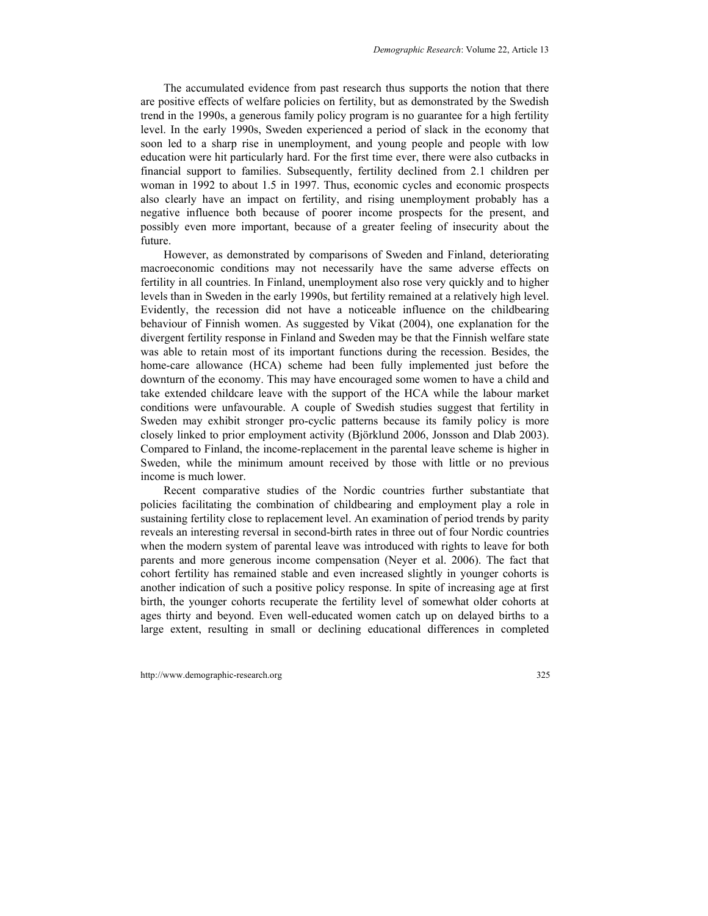The accumulated evidence from past research thus supports the notion that there are positive effects of welfare policies on fertility, but as demonstrated by the Swedish trend in the 1990s, a generous family policy program is no guarantee for a high fertility level. In the early 1990s, Sweden experienced a period of slack in the economy that soon led to a sharp rise in unemployment, and young people and people with low education were hit particularly hard. For the first time ever, there were also cutbacks in financial support to families. Subsequently, fertility declined from 2.1 children per woman in 1992 to about 1.5 in 1997. Thus, economic cycles and economic prospects also clearly have an impact on fertility, and rising unemployment probably has a negative influence both because of poorer income prospects for the present, and possibly even more important, because of a greater feeling of insecurity about the future.

However, as demonstrated by comparisons of Sweden and Finland, deteriorating macroeconomic conditions may not necessarily have the same adverse effects on fertility in all countries. In Finland, unemployment also rose very quickly and to higher levels than in Sweden in the early 1990s, but fertility remained at a relatively high level. Evidently, the recession did not have a noticeable influence on the childbearing behaviour of Finnish women. As suggested by Vikat (2004), one explanation for the divergent fertility response in Finland and Sweden may be that the Finnish welfare state was able to retain most of its important functions during the recession. Besides, the home-care allowance (HCA) scheme had been fully implemented just before the downturn of the economy. This may have encouraged some women to have a child and take extended childcare leave with the support of the HCA while the labour market conditions were unfavourable. A couple of Swedish studies suggest that fertility in Sweden may exhibit stronger pro-cyclic patterns because its family policy is more closely linked to prior employment activity (Björklund 2006, Jonsson and Dlab 2003). Compared to Finland, the income-replacement in the parental leave scheme is higher in Sweden, while the minimum amount received by those with little or no previous income is much lower.

Recent comparative studies of the Nordic countries further substantiate that policies facilitating the combination of childbearing and employment play a role in sustaining fertility close to replacement level. An examination of period trends by parity reveals an interesting reversal in second-birth rates in three out of four Nordic countries when the modern system of parental leave was introduced with rights to leave for both parents and more generous income compensation (Neyer et al. 2006). The fact that cohort fertility has remained stable and even increased slightly in younger cohorts is another indication of such a positive policy response. In spite of increasing age at first birth, the younger cohorts recuperate the fertility level of somewhat older cohorts at ages thirty and beyond. Even well-educated women catch up on delayed births to a large extent, resulting in small or declining educational differences in completed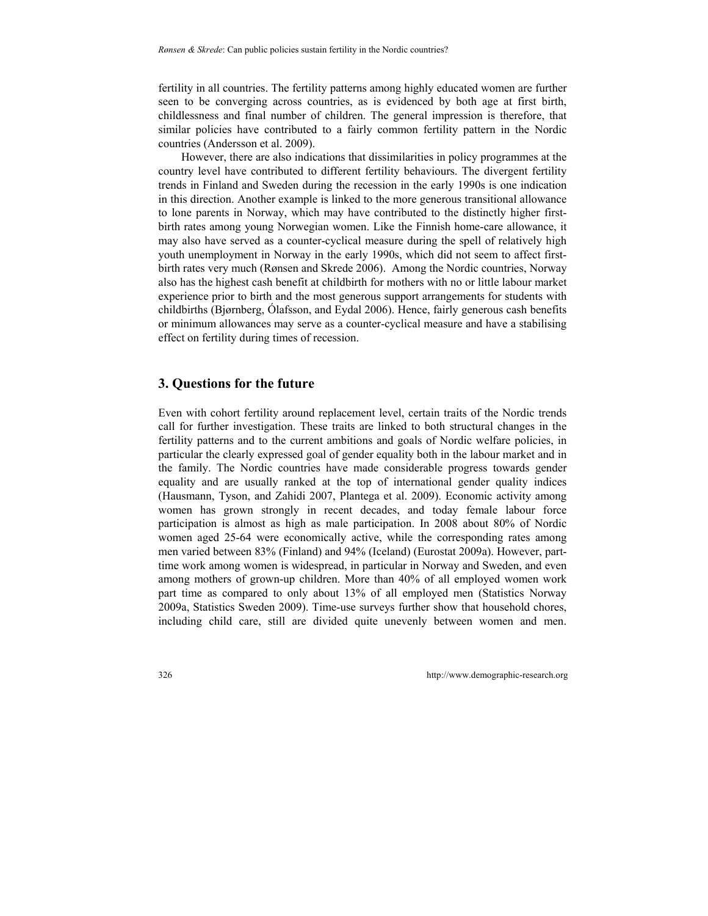fertility in all countries. The fertility patterns among highly educated women are further seen to be converging across countries, as is evidenced by both age at first birth, childlessness and final number of children. The general impression is therefore, that similar policies have contributed to a fairly common fertility pattern in the Nordic countries (Andersson et al. 2009).

However, there are also indications that dissimilarities in policy programmes at the country level have contributed to different fertility behaviours. The divergent fertility trends in Finland and Sweden during the recession in the early 1990s is one indication in this direction. Another example is linked to the more generous transitional allowance to lone parents in Norway, which may have contributed to the distinctly higher firstbirth rates among young Norwegian women. Like the Finnish home-care allowance, it may also have served as a counter-cyclical measure during the spell of relatively high youth unemployment in Norway in the early 1990s, which did not seem to affect firstbirth rates very much (Rønsen and Skrede 2006). Among the Nordic countries, Norway also has the highest cash benefit at childbirth for mothers with no or little labour market experience prior to birth and the most generous support arrangements for students with childbirths (Bjørnberg, Ólafsson, and Eydal 2006). Hence, fairly generous cash benefits or minimum allowances may serve as a counter-cyclical measure and have a stabilising effect on fertility during times of recession.

#### **3. Questions for the future**

Even with cohort fertility around replacement level, certain traits of the Nordic trends call for further investigation. These traits are linked to both structural changes in the fertility patterns and to the current ambitions and goals of Nordic welfare policies, in particular the clearly expressed goal of gender equality both in the labour market and in the family. The Nordic countries have made considerable progress towards gender equality and are usually ranked at the top of international gender quality indices (Hausmann, Tyson, and Zahidi 2007, Plantega et al. 2009). Economic activity among women has grown strongly in recent decades, and today female labour force participation is almost as high as male participation. In 2008 about 80% of Nordic women aged 25-64 were economically active, while the corresponding rates among men varied between 83% (Finland) and 94% (Iceland) (Eurostat 2009a). However, parttime work among women is widespread, in particular in Norway and Sweden, and even among mothers of grown-up children. More than 40% of all employed women work part time as compared to only about 13% of all employed men (Statistics Norway 2009a, Statistics Sweden 2009). Time-use surveys further show that household chores, including child care, still are divided quite unevenly between women and men.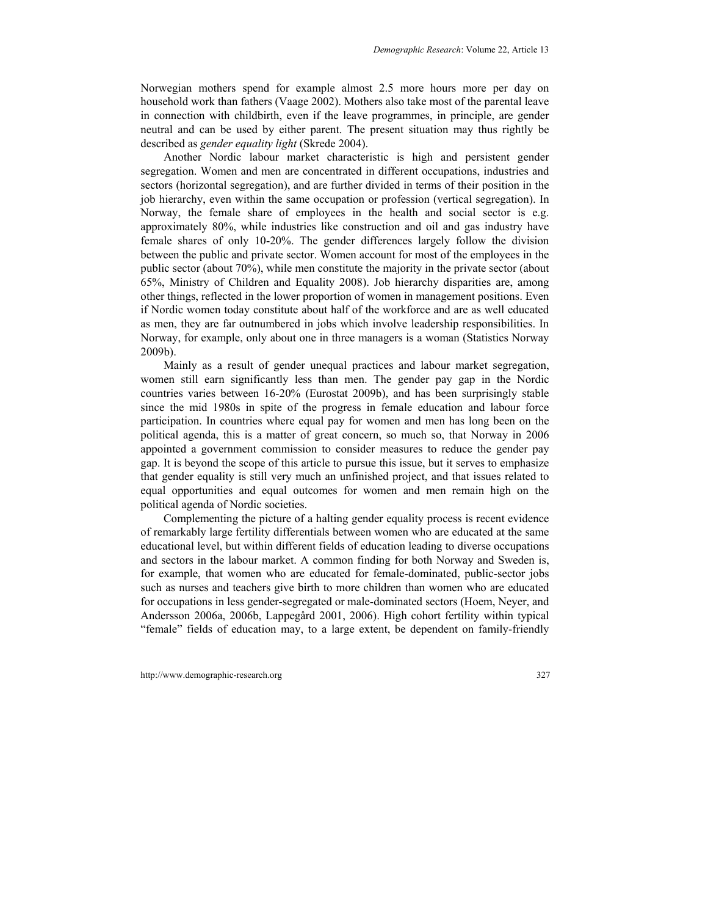Norwegian mothers spend for example almost 2.5 more hours more per day on household work than fathers (Vaage 2002). Mothers also take most of the parental leave in connection with childbirth, even if the leave programmes, in principle, are gender neutral and can be used by either parent. The present situation may thus rightly be described as *gender equality light* (Skrede 2004).

Another Nordic labour market characteristic is high and persistent gender segregation. Women and men are concentrated in different occupations, industries and sectors (horizontal segregation), and are further divided in terms of their position in the job hierarchy, even within the same occupation or profession (vertical segregation). In Norway, the female share of employees in the health and social sector is e.g. approximately 80%, while industries like construction and oil and gas industry have female shares of only 10-20%. The gender differences largely follow the division between the public and private sector. Women account for most of the employees in the public sector (about 70%), while men constitute the majority in the private sector (about 65%, Ministry of Children and Equality 2008). Job hierarchy disparities are, among other things, reflected in the lower proportion of women in management positions. Even if Nordic women today constitute about half of the workforce and are as well educated as men, they are far outnumbered in jobs which involve leadership responsibilities. In Norway, for example, only about one in three managers is a woman (Statistics Norway 2009b).

Mainly as a result of gender unequal practices and labour market segregation, women still earn significantly less than men. The gender pay gap in the Nordic countries varies between 16-20% (Eurostat 2009b), and has been surprisingly stable since the mid 1980s in spite of the progress in female education and labour force participation. In countries where equal pay for women and men has long been on the political agenda, this is a matter of great concern, so much so, that Norway in 2006 appointed a government commission to consider measures to reduce the gender pay gap. It is beyond the scope of this article to pursue this issue, but it serves to emphasize that gender equality is still very much an unfinished project, and that issues related to equal opportunities and equal outcomes for women and men remain high on the political agenda of Nordic societies.

Complementing the picture of a halting gender equality process is recent evidence of remarkably large fertility differentials between women who are educated at the same educational level, but within different fields of education leading to diverse occupations and sectors in the labour market. A common finding for both Norway and Sweden is, for example, that women who are educated for female-dominated, public-sector jobs such as nurses and teachers give birth to more children than women who are educated for occupations in less gender-segregated or male-dominated sectors (Hoem, Neyer, and Andersson 2006a, 2006b, Lappegård 2001, 2006). High cohort fertility within typical "female" fields of education may, to a large extent, be dependent on family-friendly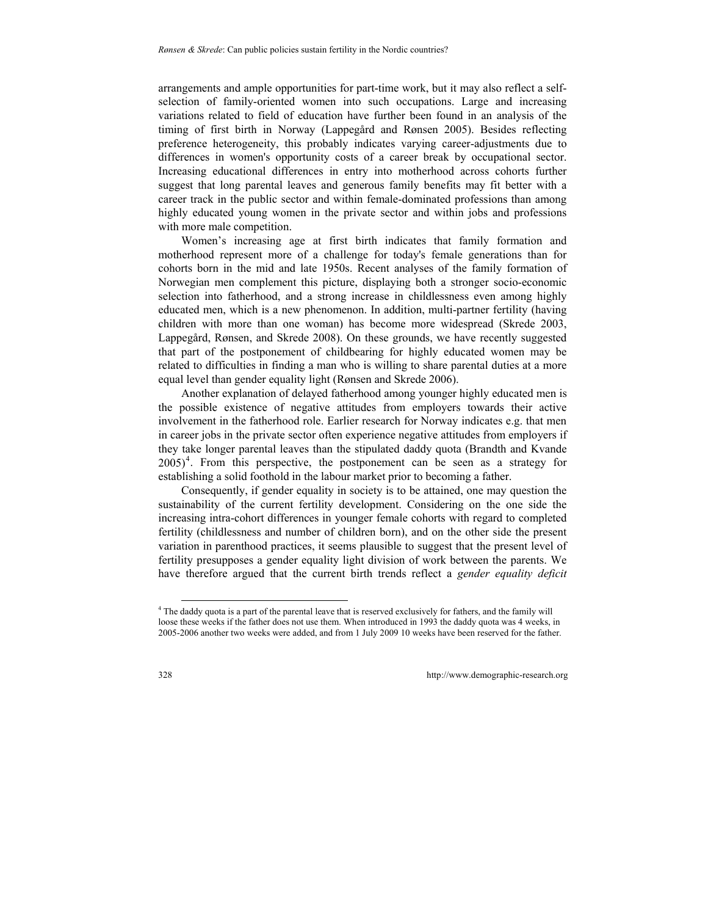arrangements and ample opportunities for part-time work, but it may also reflect a selfselection of family-oriented women into such occupations. Large and increasing variations related to field of education have further been found in an analysis of the timing of first birth in Norway (Lappegård and Rønsen 2005). Besides reflecting preference heterogeneity, this probably indicates varying career-adjustments due to differences in women's opportunity costs of a career break by occupational sector. Increasing educational differences in entry into motherhood across cohorts further suggest that long parental leaves and generous family benefits may fit better with a career track in the public sector and within female-dominated professions than among highly educated young women in the private sector and within jobs and professions with more male competition.

Women's increasing age at first birth indicates that family formation and motherhood represent more of a challenge for today's female generations than for cohorts born in the mid and late 1950s. Recent analyses of the family formation of Norwegian men complement this picture, displaying both a stronger socio-economic selection into fatherhood, and a strong increase in childlessness even among highly educated men, which is a new phenomenon. In addition, multi-partner fertility (having children with more than one woman) has become more widespread (Skrede 2003, Lappegård, Rønsen, and Skrede 2008). On these grounds, we have recently suggested that part of the postponement of childbearing for highly educated women may be related to difficulties in finding a man who is willing to share parental duties at a more equal level than gender equality light (Rønsen and Skrede 2006).

Another explanation of delayed fatherhood among younger highly educated men is the possible existence of negative attitudes from employers towards their active involvement in the fatherhood role. Earlier research for Norway indicates e.g. that men in career jobs in the private sector often experience negative attitudes from employers if they take longer parental leaves than the stipulated daddy quota (Brandth and Kvande  $2005$ <sup>[4](#page-9-0)</sup>. From this perspective, the postponement can be seen as a strategy for establishing a solid foothold in the labour market prior to becoming a father.

Consequently, if gender equality in society is to be attained, one may question the sustainability of the current fertility development. Considering on the one side the increasing intra-cohort differences in younger female cohorts with regard to completed fertility (childlessness and number of children born), and on the other side the present variation in parenthood practices, it seems plausible to suggest that the present level of fertility presupposes a gender equality light division of work between the parents. We have therefore argued that the current birth trends reflect a *gender equality deficit*

l

<span id="page-9-0"></span><sup>4</sup> The daddy quota is a part of the parental leave that is reserved exclusively for fathers, and the family will loose these weeks if the father does not use them. When introduced in 1993 the daddy quota was 4 weeks, in 2005-2006 another two weeks were added, and from 1 July 2009 10 weeks have been reserved for the father.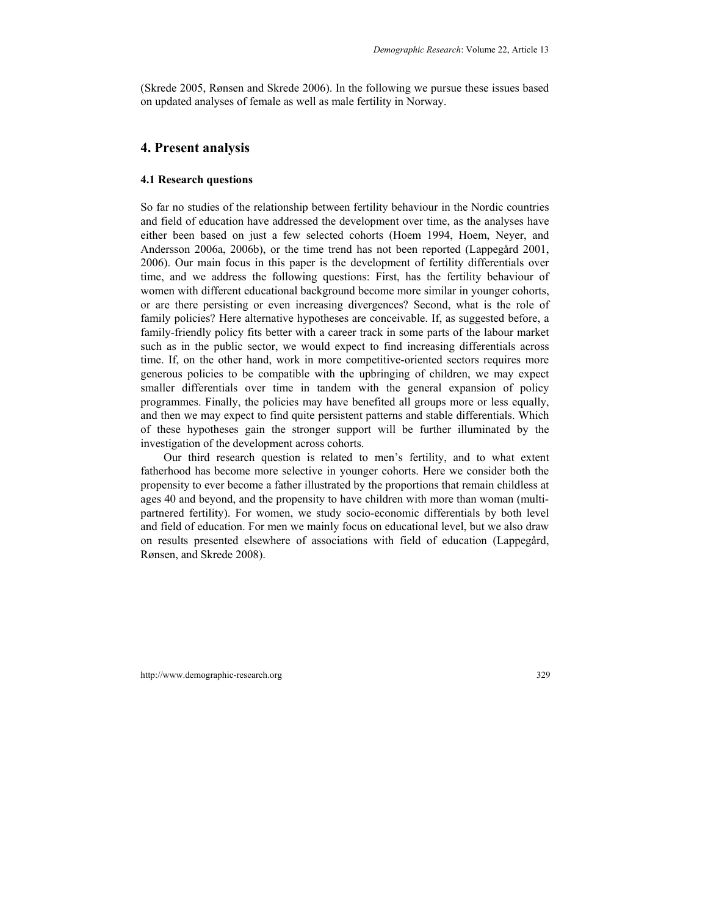(Skrede 2005, Rønsen and Skrede 2006). In the following we pursue these issues based on updated analyses of female as well as male fertility in Norway.

#### **4. Present analysis**

#### **4.1 Research questions**

So far no studies of the relationship between fertility behaviour in the Nordic countries and field of education have addressed the development over time, as the analyses have either been based on just a few selected cohorts (Hoem 1994, Hoem, Neyer, and Andersson 2006a, 2006b), or the time trend has not been reported (Lappegård 2001, 2006). Our main focus in this paper is the development of fertility differentials over time, and we address the following questions: First, has the fertility behaviour of women with different educational background become more similar in younger cohorts, or are there persisting or even increasing divergences? Second, what is the role of family policies? Here alternative hypotheses are conceivable. If, as suggested before, a family-friendly policy fits better with a career track in some parts of the labour market such as in the public sector, we would expect to find increasing differentials across time. If, on the other hand, work in more competitive-oriented sectors requires more generous policies to be compatible with the upbringing of children, we may expect smaller differentials over time in tandem with the general expansion of policy programmes. Finally, the policies may have benefited all groups more or less equally, and then we may expect to find quite persistent patterns and stable differentials. Which of these hypotheses gain the stronger support will be further illuminated by the investigation of the development across cohorts.

Our third research question is related to men's fertility, and to what extent fatherhood has become more selective in younger cohorts. Here we consider both the propensity to ever become a father illustrated by the proportions that remain childless at ages 40 and beyond, and the propensity to have children with more than woman (multipartnered fertility). For women, we study socio-economic differentials by both level and field of education. For men we mainly focus on educational level, but we also draw on results presented elsewhere of associations with field of education (Lappegård, Rønsen, and Skrede 2008).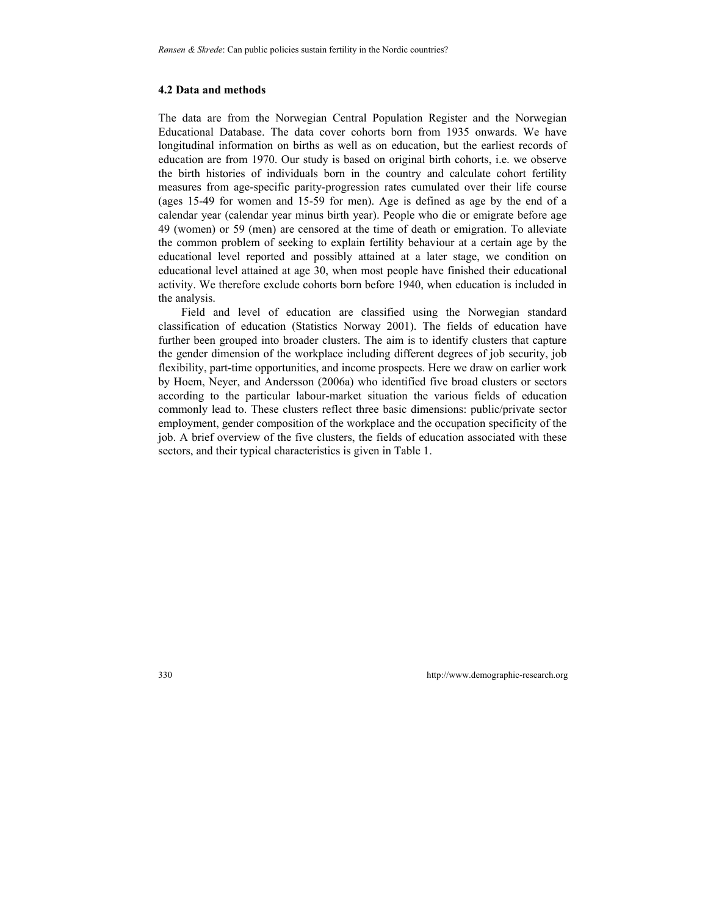#### **4.2 Data and methods**

The data are from the Norwegian Central Population Register and the Norwegian Educational Database. The data cover cohorts born from 1935 onwards. We have longitudinal information on births as well as on education, but the earliest records of education are from 1970. Our study is based on original birth cohorts, i.e. we observe the birth histories of individuals born in the country and calculate cohort fertility measures from age-specific parity-progression rates cumulated over their life course (ages 15-49 for women and 15-59 for men). Age is defined as age by the end of a calendar year (calendar year minus birth year). People who die or emigrate before age 49 (women) or 59 (men) are censored at the time of death or emigration. To alleviate the common problem of seeking to explain fertility behaviour at a certain age by the educational level reported and possibly attained at a later stage, we condition on educational level attained at age 30, when most people have finished their educational activity. We therefore exclude cohorts born before 1940, when education is included in the analysis.

Field and level of education are classified using the Norwegian standard classification of education (Statistics Norway 2001). The fields of education have further been grouped into broader clusters. The aim is to identify clusters that capture the gender dimension of the workplace including different degrees of job security, job flexibility, part-time opportunities, and income prospects. Here we draw on earlier work by Hoem, Neyer, and Andersson (2006a) who identified five broad clusters or sectors according to the particular labour-market situation the various fields of education commonly lead to. These clusters reflect three basic dimensions: public/private sector employment, gender composition of the workplace and the occupation specificity of the job. A brief overview of the five clusters, the fields of education associated with these sectors, and their typical characteristics is given in Table 1.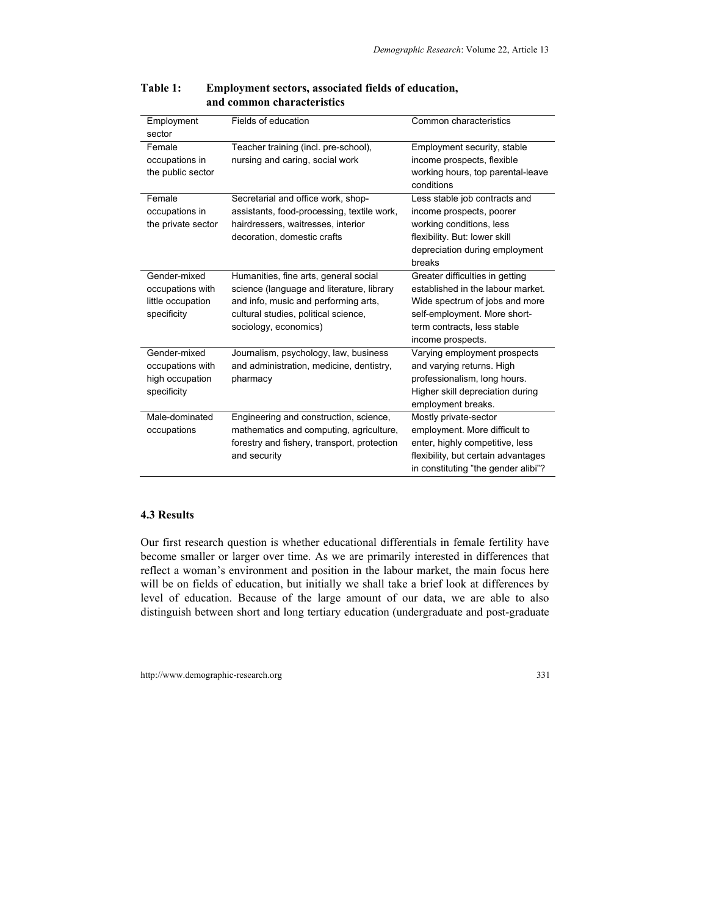| Employment         | Fields of education                         | Common characteristics              |  |
|--------------------|---------------------------------------------|-------------------------------------|--|
| sector             |                                             |                                     |  |
| Female             | Teacher training (incl. pre-school),        | Employment security, stable         |  |
| occupations in     | nursing and caring, social work             | income prospects, flexible          |  |
| the public sector  |                                             | working hours, top parental-leave   |  |
|                    |                                             | conditions                          |  |
| Female             | Secretarial and office work, shop-          | Less stable job contracts and       |  |
| occupations in     | assistants, food-processing, textile work,  | income prospects, poorer            |  |
| the private sector | hairdressers, waitresses, interior          | working conditions, less            |  |
|                    | decoration, domestic crafts                 | flexibility. But: lower skill       |  |
|                    |                                             | depreciation during employment      |  |
|                    |                                             | breaks                              |  |
| Gender-mixed       | Humanities, fine arts, general social       | Greater difficulties in getting     |  |
| occupations with   | science (language and literature, library   | established in the labour market.   |  |
| little occupation  | and info, music and performing arts,        | Wide spectrum of jobs and more      |  |
| specificity        | cultural studies, political science,        | self-employment. More short-        |  |
|                    | sociology, economics)                       | term contracts, less stable         |  |
|                    |                                             | income prospects.                   |  |
| Gender-mixed       | Journalism, psychology, law, business       | Varying employment prospects        |  |
| occupations with   | and administration, medicine, dentistry,    | and varying returns. High           |  |
| high occupation    | pharmacy                                    | professionalism, long hours.        |  |
| specificity        |                                             | Higher skill depreciation during    |  |
|                    |                                             | employment breaks.                  |  |
| Male-dominated     | Engineering and construction, science,      | Mostly private-sector               |  |
|                    | mathematics and computing, agriculture,     | employment. More difficult to       |  |
| occupations        |                                             |                                     |  |
|                    | forestry and fishery, transport, protection | enter, highly competitive, less     |  |
|                    | and security                                | flexibility, but certain advantages |  |
|                    |                                             | in constituting "the gender alibi"? |  |

#### **Table 1: Employment sectors, associated fields of education, and common characteristics**

#### **4.3 Results**

Our first research question is whether educational differentials in female fertility have become smaller or larger over time. As we are primarily interested in differences that reflect a woman's environment and position in the labour market, the main focus here will be on fields of education, but initially we shall take a brief look at differences by level of education. Because of the large amount of our data, we are able to also distinguish between short and long tertiary education (undergraduate and post-graduate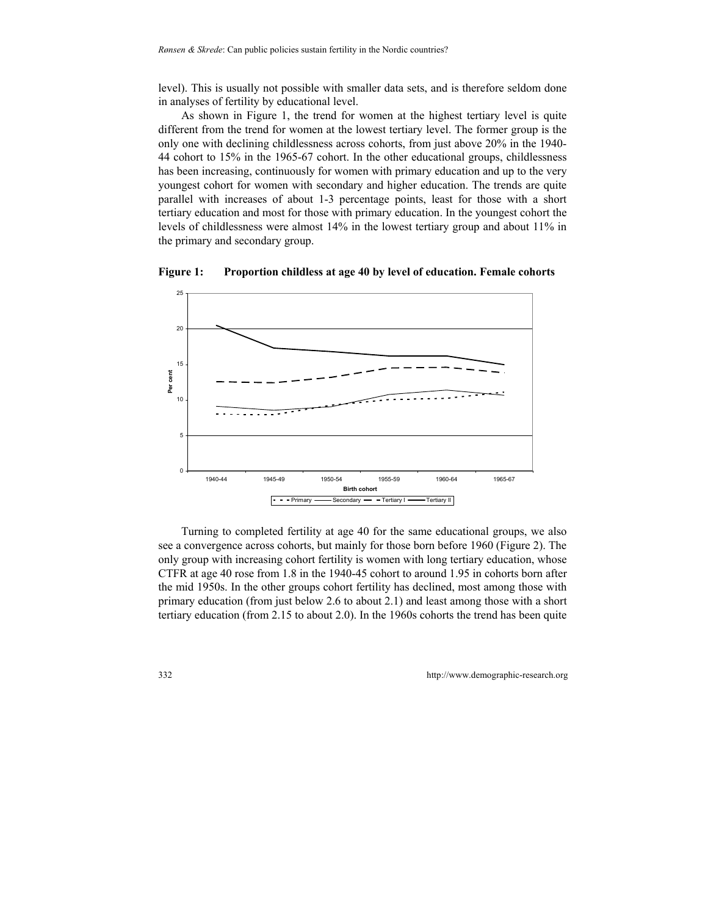level). This is usually not possible with smaller data sets, and is therefore seldom done in analyses of fertility by educational level.

As shown in Figure 1, the trend for women at the highest tertiary level is quite different from the trend for women at the lowest tertiary level. The former group is the only one with declining childlessness across cohorts, from just above 20% in the 1940- 44 cohort to 15% in the 1965-67 cohort. In the other educational groups, childlessness has been increasing, continuously for women with primary education and up to the very youngest cohort for women with secondary and higher education. The trends are quite parallel with increases of about 1-3 percentage points, least for those with a short tertiary education and most for those with primary education. In the youngest cohort the levels of childlessness were almost 14% in the lowest tertiary group and about 11% in the primary and secondary group.



**Figure 1: Proportion childless at age 40 by level of education. Female cohorts** 

Turning to completed fertility at age 40 for the same educational groups, we also see a convergence across cohorts, but mainly for those born before 1960 (Figure 2). The only group with increasing cohort fertility is women with long tertiary education, whose CTFR at age 40 rose from 1.8 in the 1940-45 cohort to around 1.95 in cohorts born after the mid 1950s. In the other groups cohort fertility has declined, most among those with primary education (from just below 2.6 to about 2.1) and least among those with a short tertiary education (from 2.15 to about 2.0). In the 1960s cohorts the trend has been quite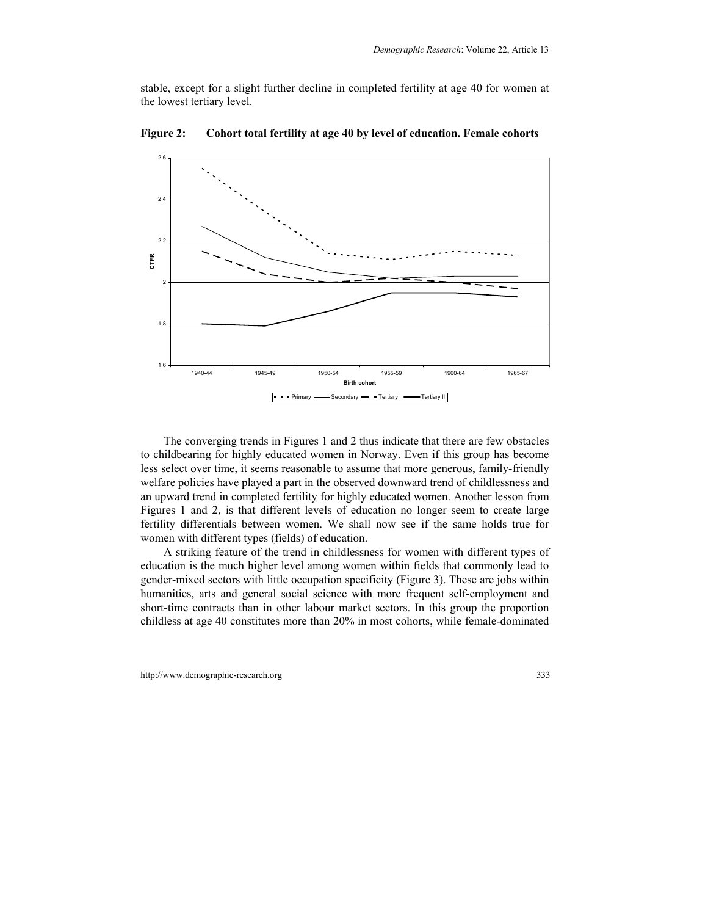stable, except for a slight further decline in completed fertility at age 40 for women at the lowest tertiary level.



**Figure 2: Cohort total fertility at age 40 by level of education. Female cohorts** 

The converging trends in Figures 1 and 2 thus indicate that there are few obstacles to childbearing for highly educated women in Norway. Even if this group has become less select over time, it seems reasonable to assume that more generous, family-friendly welfare policies have played a part in the observed downward trend of childlessness and an upward trend in completed fertility for highly educated women. Another lesson from Figures 1 and 2, is that different levels of education no longer seem to create large fertility differentials between women. We shall now see if the same holds true for women with different types (fields) of education.

A striking feature of the trend in childlessness for women with different types of education is the much higher level among women within fields that commonly lead to gender-mixed sectors with little occupation specificity (Figure 3). These are jobs within humanities, arts and general social science with more frequent self-employment and short-time contracts than in other labour market sectors. In this group the proportion childless at age 40 constitutes more than 20% in most cohorts, while female-dominated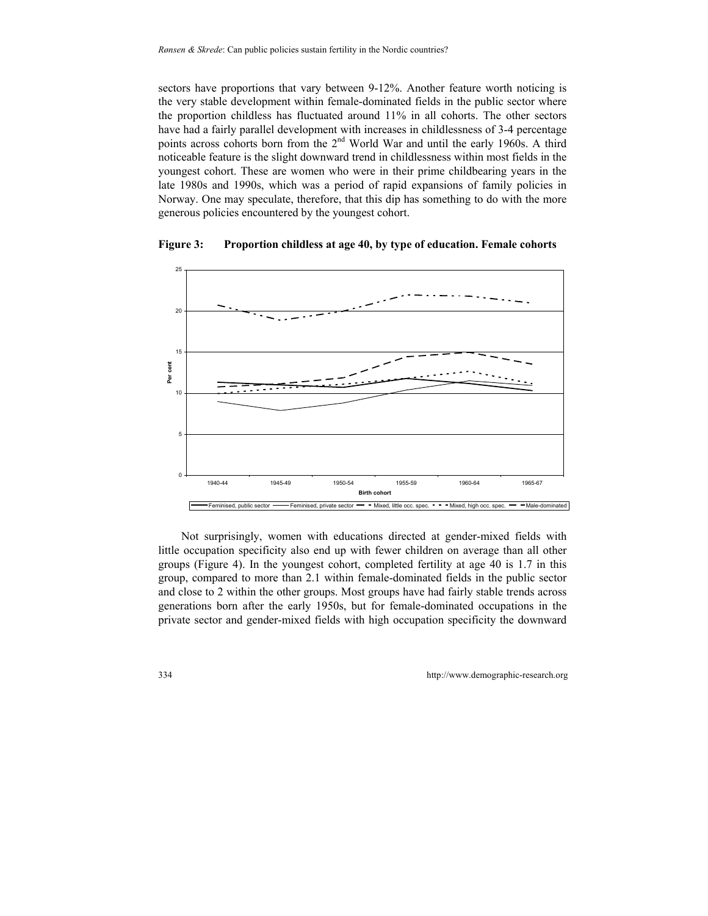sectors have proportions that vary between 9-12%. Another feature worth noticing is the very stable development within female-dominated fields in the public sector where the proportion childless has fluctuated around 11% in all cohorts. The other sectors have had a fairly parallel development with increases in childlessness of 3-4 percentage points across cohorts born from the 2<sup>nd</sup> World War and until the early 1960s. A third noticeable feature is the slight downward trend in childlessness within most fields in the youngest cohort. These are women who were in their prime childbearing years in the late 1980s and 1990s, which was a period of rapid expansions of family policies in Norway. One may speculate, therefore, that this dip has something to do with the more generous policies encountered by the youngest cohort.



**Figure 3: Proportion childless at age 40, by type of education. Female cohorts** 

Not surprisingly, women with educations directed at gender-mixed fields with little occupation specificity also end up with fewer children on average than all other groups (Figure 4). In the youngest cohort, completed fertility at age 40 is 1.7 in this group, compared to more than 2.1 within female-dominated fields in the public sector and close to 2 within the other groups. Most groups have had fairly stable trends across generations born after the early 1950s, but for female-dominated occupations in the private sector and gender-mixed fields with high occupation specificity the downward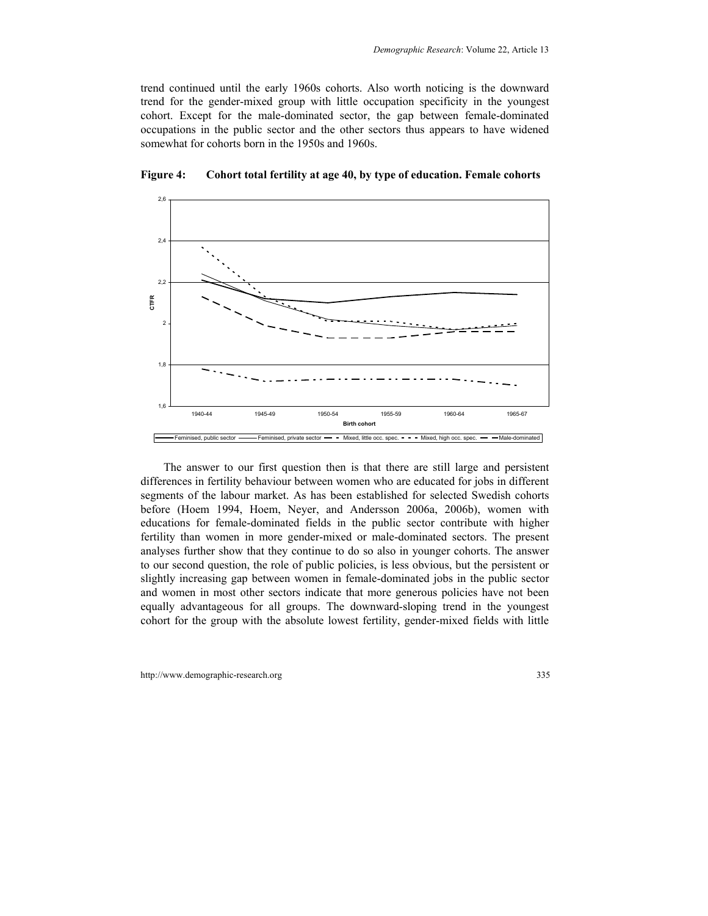trend continued until the early 1960s cohorts. Also worth noticing is the downward trend for the gender-mixed group with little occupation specificity in the youngest cohort. Except for the male-dominated sector, the gap between female-dominated occupations in the public sector and the other sectors thus appears to have widened somewhat for cohorts born in the 1950s and 1960s.



**Figure 4: Cohort total fertility at age 40, by type of education. Female cohorts** 

The answer to our first question then is that there are still large and persistent differences in fertility behaviour between women who are educated for jobs in different segments of the labour market. As has been established for selected Swedish cohorts before (Hoem 1994, Hoem, Neyer, and Andersson 2006a, 2006b), women with educations for female-dominated fields in the public sector contribute with higher fertility than women in more gender-mixed or male-dominated sectors. The present analyses further show that they continue to do so also in younger cohorts. The answer to our second question, the role of public policies, is less obvious, but the persistent or slightly increasing gap between women in female-dominated jobs in the public sector and women in most other sectors indicate that more generous policies have not been equally advantageous for all groups. The downward-sloping trend in the youngest cohort for the group with the absolute lowest fertility, gender-mixed fields with little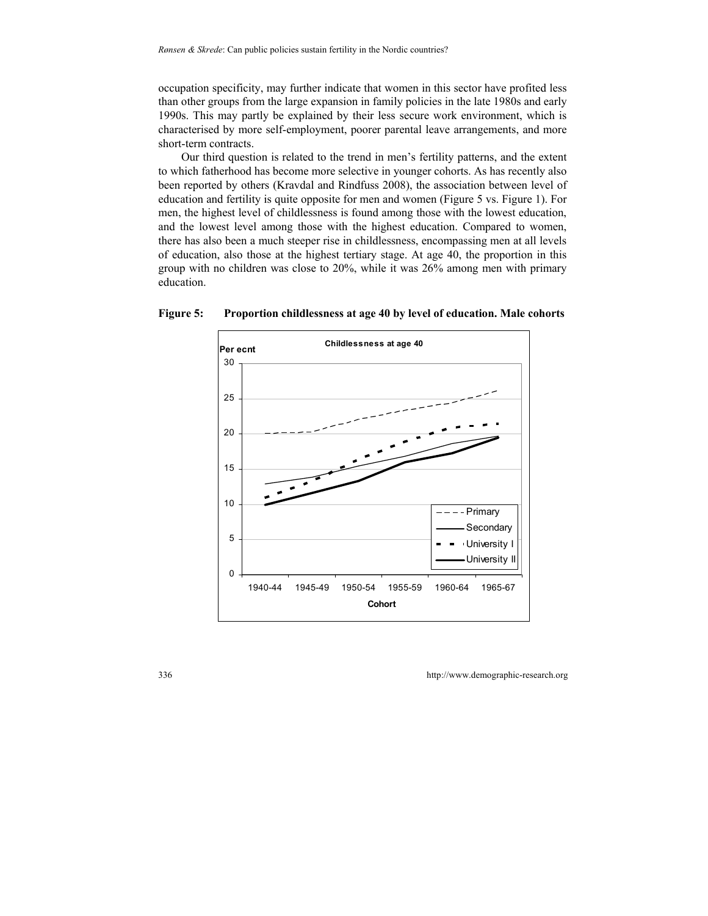occupation specificity, may further indicate that women in this sector have profited less than other groups from the large expansion in family policies in the late 1980s and early 1990s. This may partly be explained by their less secure work environment, which is characterised by more self-employment, poorer parental leave arrangements, and more short-term contracts.

Our third question is related to the trend in men's fertility patterns, and the extent to which fatherhood has become more selective in younger cohorts. As has recently also been reported by others (Kravdal and Rindfuss 2008), the association between level of education and fertility is quite opposite for men and women (Figure 5 vs. Figure 1). For men, the highest level of childlessness is found among those with the lowest education, and the lowest level among those with the highest education. Compared to women, there has also been a much steeper rise in childlessness, encompassing men at all levels of education, also those at the highest tertiary stage. At age 40, the proportion in this group with no children was close to 20%, while it was 26% among men with primary education.



**Figure 5: Proportion childlessness at age 40 by level of education. Male cohorts**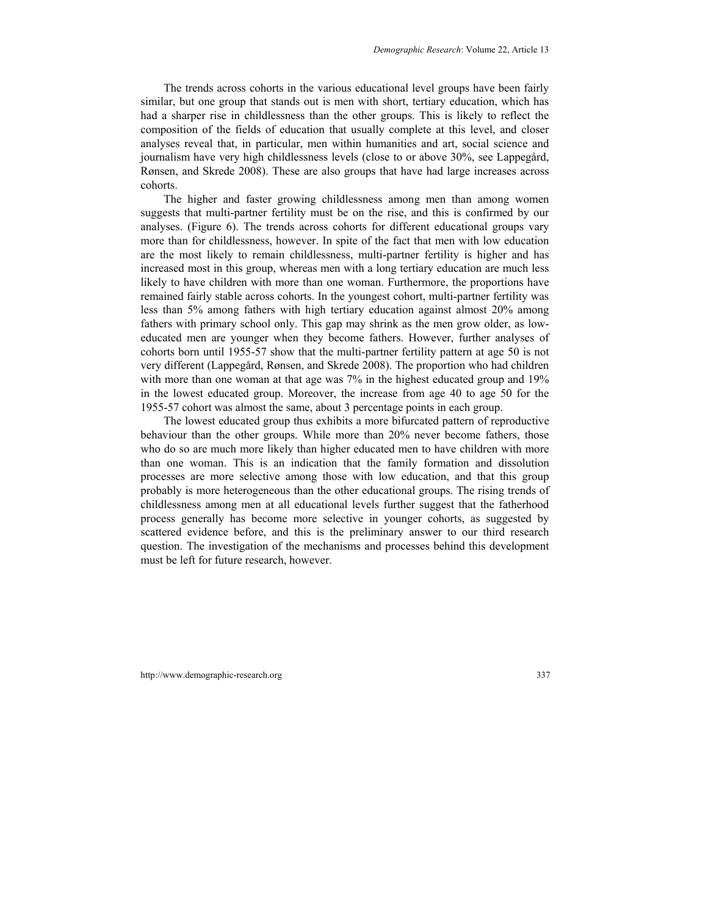The trends across cohorts in the various educational level groups have been fairly similar, but one group that stands out is men with short, tertiary education, which has had a sharper rise in childlessness than the other groups. This is likely to reflect the composition of the fields of education that usually complete at this level, and closer analyses reveal that, in particular, men within humanities and art, social science and journalism have very high childlessness levels (close to or above 30%, see Lappegård, Rønsen, and Skrede 2008). These are also groups that have had large increases across cohorts.

The higher and faster growing childlessness among men than among women suggests that multi-partner fertility must be on the rise, and this is confirmed by our analyses. (Figure 6). The trends across cohorts for different educational groups vary more than for childlessness, however. In spite of the fact that men with low education are the most likely to remain childlessness, multi-partner fertility is higher and has increased most in this group, whereas men with a long tertiary education are much less likely to have children with more than one woman. Furthermore, the proportions have remained fairly stable across cohorts. In the youngest cohort, multi-partner fertility was less than 5% among fathers with high tertiary education against almost 20% among fathers with primary school only. This gap may shrink as the men grow older, as loweducated men are younger when they become fathers. However, further analyses of cohorts born until 1955-57 show that the multi-partner fertility pattern at age 50 is not very different (Lappegård, Rønsen, and Skrede 2008). The proportion who had children with more than one woman at that age was 7% in the highest educated group and 19% in the lowest educated group. Moreover, the increase from age 40 to age 50 for the 1955-57 cohort was almost the same, about 3 percentage points in each group.

The lowest educated group thus exhibits a more bifurcated pattern of reproductive behaviour than the other groups. While more than 20% never become fathers, those who do so are much more likely than higher educated men to have children with more than one woman. This is an indication that the family formation and dissolution processes are more selective among those with low education, and that this group probably is more heterogeneous than the other educational groups. The rising trends of childlessness among men at all educational levels further suggest that the fatherhood process generally has become more selective in younger cohorts, as suggested by scattered evidence before, and this is the preliminary answer to our third research question. The investigation of the mechanisms and processes behind this development must be left for future research, however.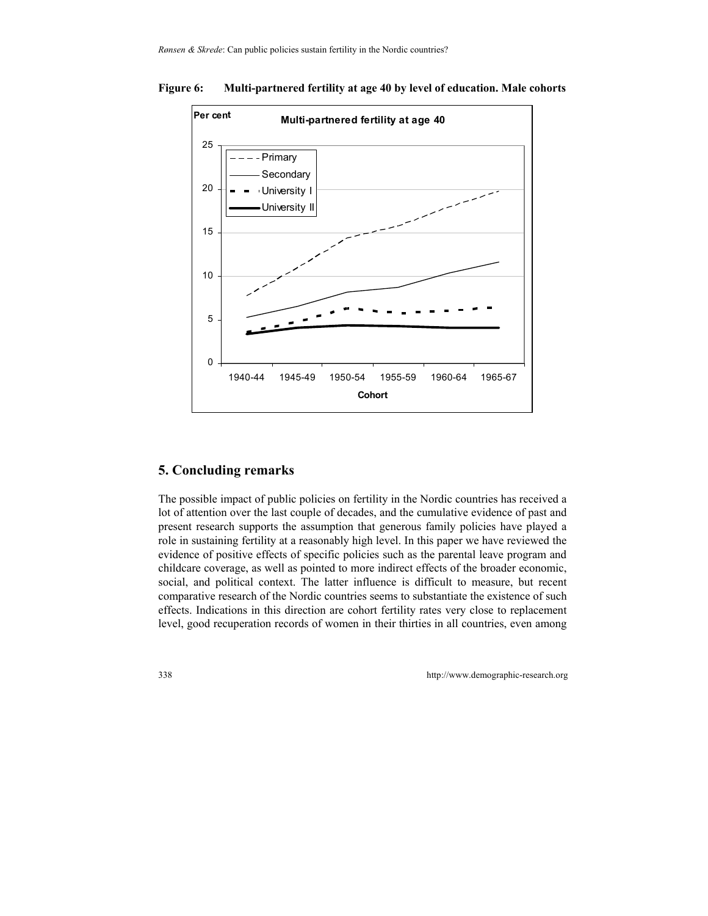# **Multi-partnered fertility at age 40** 0 5 10 15 20 25 1940-44 1945-49 1950-54 1955-59 1960-64 1965-67 **Cohort Per cent** Primary **Secondary** University I University II

#### **Figure 6: Multi-partnered fertility at age 40 by level of education. Male cohorts**

## **5. Concluding remarks**

The possible impact of public policies on fertility in the Nordic countries has received a lot of attention over the last couple of decades, and the cumulative evidence of past and present research supports the assumption that generous family policies have played a role in sustaining fertility at a reasonably high level. In this paper we have reviewed the evidence of positive effects of specific policies such as the parental leave program and childcare coverage, as well as pointed to more indirect effects of the broader economic, social, and political context. The latter influence is difficult to measure, but recent comparative research of the Nordic countries seems to substantiate the existence of such effects. Indications in this direction are cohort fertility rates very close to replacement level, good recuperation records of women in their thirties in all countries, even among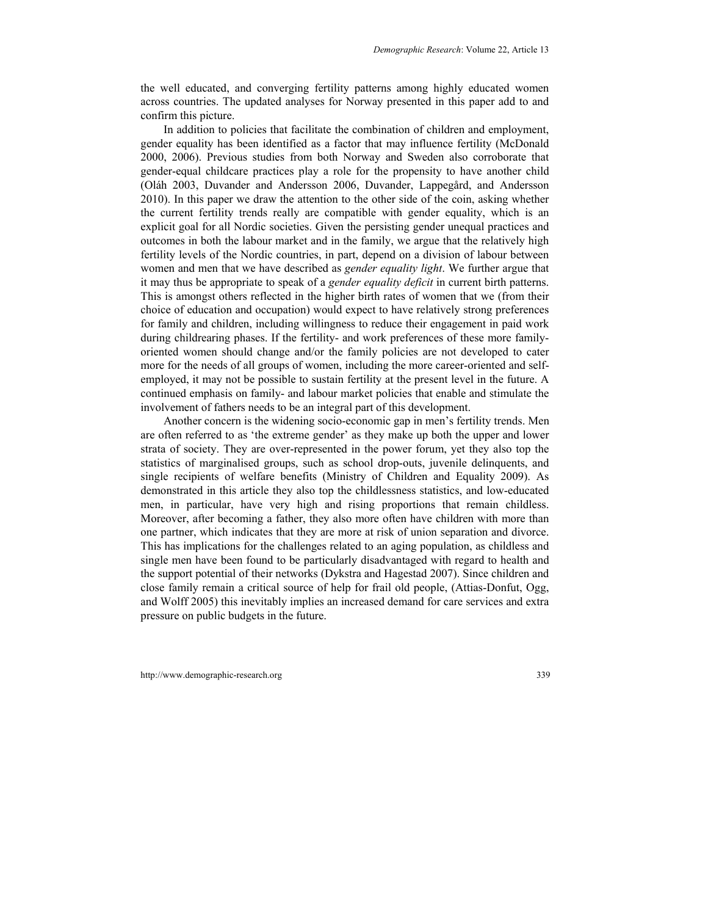the well educated, and converging fertility patterns among highly educated women across countries. The updated analyses for Norway presented in this paper add to and confirm this picture.

In addition to policies that facilitate the combination of children and employment, gender equality has been identified as a factor that may influence fertility (McDonald 2000, 2006). Previous studies from both Norway and Sweden also corroborate that gender-equal childcare practices play a role for the propensity to have another child (Oláh 2003, Duvander and Andersson 2006, Duvander, Lappegård, and Andersson 2010). In this paper we draw the attention to the other side of the coin, asking whether the current fertility trends really are compatible with gender equality, which is an explicit goal for all Nordic societies. Given the persisting gender unequal practices and outcomes in both the labour market and in the family, we argue that the relatively high fertility levels of the Nordic countries, in part, depend on a division of labour between women and men that we have described as *gender equality light*. We further argue that it may thus be appropriate to speak of a *gender equality deficit* in current birth patterns. This is amongst others reflected in the higher birth rates of women that we (from their choice of education and occupation) would expect to have relatively strong preferences for family and children, including willingness to reduce their engagement in paid work during childrearing phases. If the fertility- and work preferences of these more familyoriented women should change and/or the family policies are not developed to cater more for the needs of all groups of women, including the more career-oriented and selfemployed, it may not be possible to sustain fertility at the present level in the future. A continued emphasis on family- and labour market policies that enable and stimulate the involvement of fathers needs to be an integral part of this development.

Another concern is the widening socio-economic gap in men's fertility trends. Men are often referred to as 'the extreme gender' as they make up both the upper and lower strata of society. They are over-represented in the power forum, yet they also top the statistics of marginalised groups, such as school drop-outs, juvenile delinquents, and single recipients of welfare benefits (Ministry of Children and Equality 2009). As demonstrated in this article they also top the childlessness statistics, and low-educated men, in particular, have very high and rising proportions that remain childless. Moreover, after becoming a father, they also more often have children with more than one partner, which indicates that they are more at risk of union separation and divorce. This has implications for the challenges related to an aging population, as childless and single men have been found to be particularly disadvantaged with regard to health and the support potential of their networks (Dykstra and Hagestad 2007). Since children and close family remain a critical source of help for frail old people, (Attias-Donfut, Ogg, and Wolff 2005) this inevitably implies an increased demand for care services and extra pressure on public budgets in the future.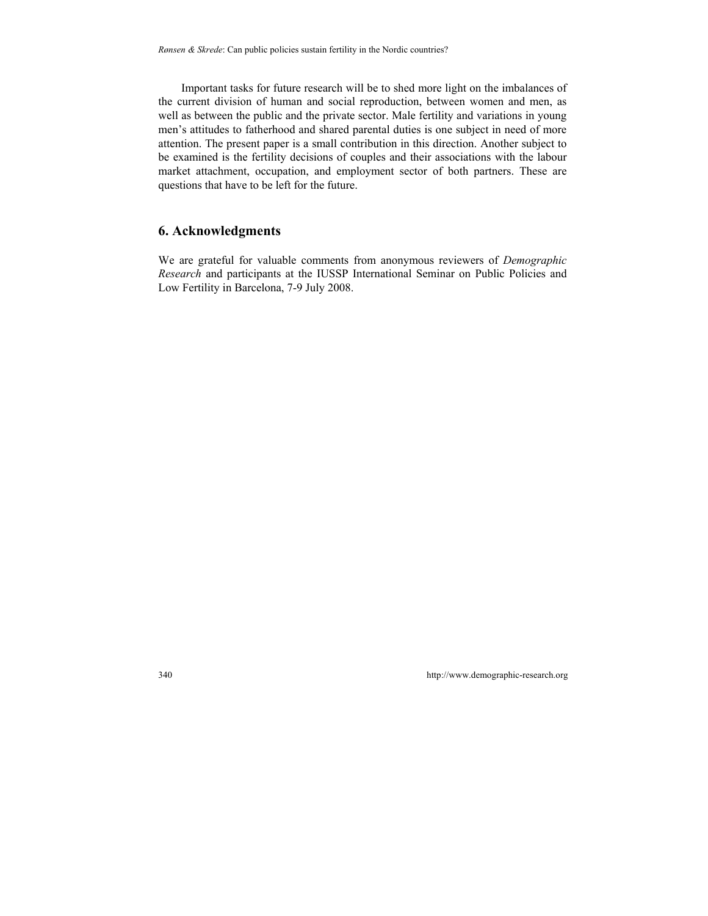Important tasks for future research will be to shed more light on the imbalances of the current division of human and social reproduction, between women and men, as well as between the public and the private sector. Male fertility and variations in young men's attitudes to fatherhood and shared parental duties is one subject in need of more attention. The present paper is a small contribution in this direction. Another subject to be examined is the fertility decisions of couples and their associations with the labour market attachment, occupation, and employment sector of both partners. These are questions that have to be left for the future.

#### **6. Acknowledgments**

We are grateful for valuable comments from anonymous reviewers of *Demographic Research* and participants at the IUSSP International Seminar on Public Policies and Low Fertility in Barcelona, 7-9 July 2008.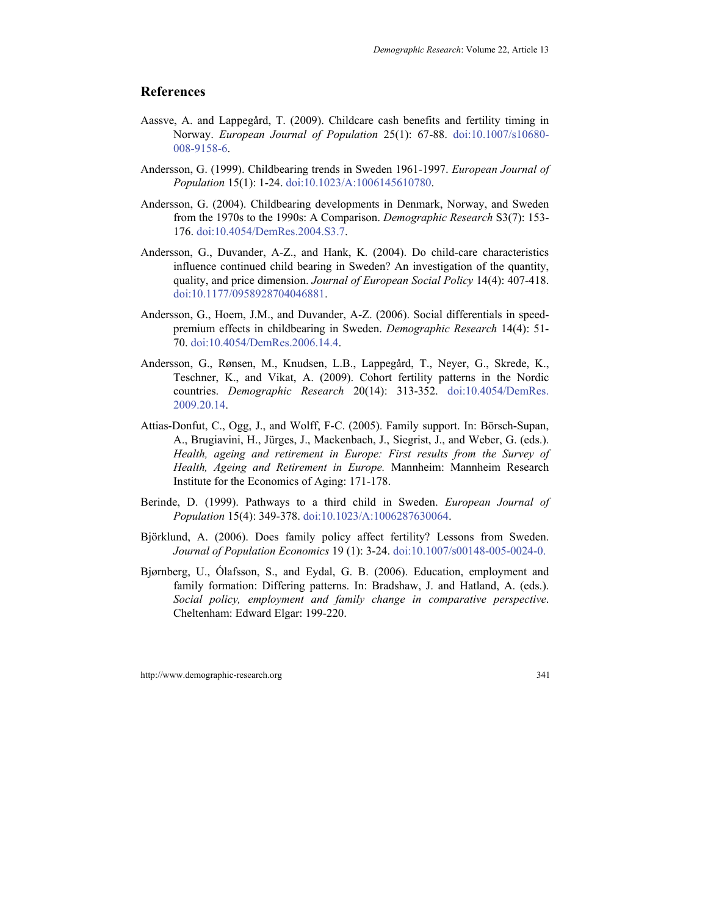#### **References**

- Aassve, A. and Lappegård, T. (2009). Childcare cash benefits and fertility timing in Norway. *European Journal of Population* 25(1): 67-88. [doi:10.1007/s10680-](http://dx.doi.org/10.1007/s10680-008-9158-6) [008-9158-6.](http://dx.doi.org/10.1007/s10680-008-9158-6)
- Andersson, G. (1999). Childbearing trends in Sweden 1961-1997. *European Journal of Population* 15(1): 1-24. [doi:10.1023/A:1006145610780.](http://dx.doi.org/10.1023/A:1006145610780)
- Andersson, G. (2004). Childbearing developments in Denmark, Norway, and Sweden from the 1970s to the 1990s: A Comparison. *Demographic Research* S3(7): 153- 176. [doi:10.4054/DemRes.2004.S3.7](http://dx.doi.org/10.4054/DemRes.2004.S3.7).
- Andersson, G., Duvander, A-Z., and Hank, K. (2004). Do child-care characteristics influence continued child bearing in Sweden? An investigation of the quantity, quality, and price dimension. *Journal of European Social Policy* 14(4): 407-418. [doi:10.1177/0958928704046881.](http://dx.doi.org/10.1177/0958928704046881)
- Andersson, G., Hoem, J.M., and Duvander, A-Z. (2006). Social differentials in speedpremium effects in childbearing in Sweden. *Demographic Research* 14(4): 51- 70. [doi:10.4054/DemRes.2006.14.4.](http://dx.doi.org/10.4054/DemRes.2006.14.4)
- Andersson, G., Rønsen, M., Knudsen, L.B., Lappegård, T., Neyer, G., Skrede, K., Teschner, K., and Vikat, A. (2009). Cohort fertility patterns in the Nordic countries. *Demographic Research* 20(14): 313-352. [doi:10.4054/DemRes.](http://dx.doi.org/10.4054/DemRes.2009.20.14)  [2009.20.14.](http://dx.doi.org/10.4054/DemRes.2009.20.14)
- Attias-Donfut, C., Ogg, J., and Wolff, F-C. (2005). Family support. In: Börsch-Supan, A., Brugiavini, H., Jürges, J., Mackenbach, J., Siegrist, J., and Weber, G. (eds.). *Health, ageing and retirement in Europe: First results from the Survey of Health, Ageing and Retirement in Europe.* Mannheim: Mannheim Research Institute for the Economics of Aging: 171-178.
- Berinde, D. (1999). Pathways to a third child in Sweden. *European Journal of Population* 15(4): 349-378. [doi:10.1023/A:1006287630064.](http://dx.doi.org/10.1023/A:1006287630064)
- Björklund, A. (2006). Does family policy affect fertility? Lessons from Sweden. *Journal of Population Economics* 19 (1): 3-24. [doi:10.1007/s00148-005-0024-0.](http://dx.doi.org/%0Bdoi:10.1007/s00148-005-0024-0)
- Bjørnberg, U., Ólafsson, S., and Eydal, G. B. (2006). Education, employment and family formation: Differing patterns. In: Bradshaw, J. and Hatland, A. (eds.). *Social policy, employment and family change in comparative perspective*. Cheltenham: Edward Elgar: 199-220.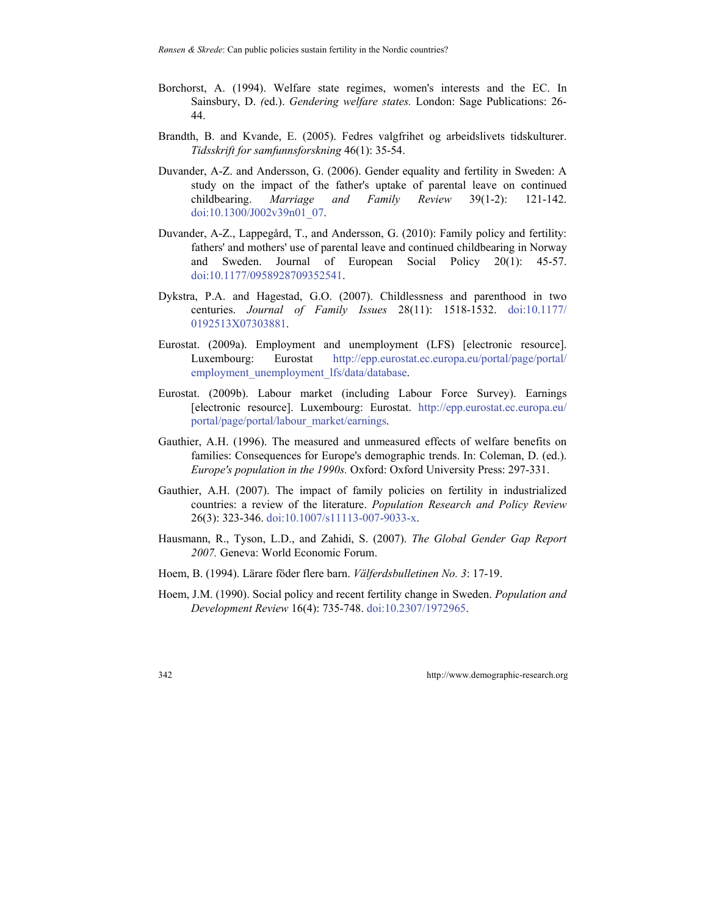*Rønsen & Skrede*: Can public policies sustain fertility in the Nordic countries?

- Borchorst, A. (1994). Welfare state regimes, women's interests and the EC. In Sainsbury, D. *(*ed.). *Gendering welfare states.* London: Sage Publications: 26- 44.
- Brandth, B. and Kvande, E. (2005). Fedres valgfrihet og arbeidslivets tidskulturer. *Tidsskrift for samfunnsforskning* 46(1): 35-54.
- Duvander, A-Z. and Andersson, G. (2006). Gender equality and fertility in Sweden: A study on the impact of the father's uptake of parental leave on continued childbearing. *Marriage and Family Review* 39(1-2): 121-142. [doi:10.1300/J002v39n01\\_07.](http://dx.doi.org/10.1300/J002v39n01_07)
- Duvander, A-Z., Lappegård, T., and Andersson, G. (2010): Family policy and fertility: fathers' and mothers' use of parental leave and continued childbearing in Norway and Sweden. Journal of European Social Policy 20(1): 45-57. [doi:10.1177/0958928709352541](http://dx.doi.org/10.1177/0958928709352541).
- Dykstra, P.A. and Hagestad, G.O. (2007). Childlessness and parenthood in two centuries. *Journal of Family Issues* 28(11): 1518-1532. [doi:10.1177/](http://dx.doi.org/10.1177/0192513X07303881)  [0192513X07303881](http://dx.doi.org/10.1177/0192513X07303881).
- Eurostat. (2009a). Employment and unemployment (LFS) [electronic resource]. Luxembourg: Eurostat [http://epp.eurostat.ec.europa.eu/portal/page/portal/](http://epp.eurostat.ec.europa.eu/portal/page/portal/%0Bemployment_unemployment_lfs/data/database)  [employment\\_unemployment\\_lfs/data/database.](http://epp.eurostat.ec.europa.eu/portal/page/portal/%0Bemployment_unemployment_lfs/data/database)
- Eurostat. (2009b). Labour market (including Labour Force Survey). Earnings [electronic resource]. Luxembourg: Eurostat. [http://epp.eurostat.ec.europa.eu/](http://epp.eurostat.ec.europa.eu/%0Bportal/page/portal/labour_market/earnings)  [portal/page/portal/labour\\_market/earnings](http://epp.eurostat.ec.europa.eu/%0Bportal/page/portal/labour_market/earnings).
- Gauthier, A.H. (1996). The measured and unmeasured effects of welfare benefits on families: Consequences for Europe's demographic trends. In: Coleman, D. (ed.). *Europe's population in the 1990s.* Oxford: Oxford University Press: 297-331.
- Gauthier, A.H. (2007). The impact of family policies on fertility in industrialized countries: a review of the literature. *Population Research and Policy Review* 26(3): 323-346. [doi:10.1007/s11113-007-9033-x](http://dx.doi.org/10.1007/s11113-007-9033-x).
- Hausmann, R., Tyson, L.D., and Zahidi, S. (2007). *The Global Gender Gap Report 2007.* Geneva: World Economic Forum.
- Hoem, B. (1994). Lärare föder flere barn. *Välferdsbulletinen No. 3*: 17-19.
- Hoem, J.M. (1990). Social policy and recent fertility change in Sweden. *Population and Development Review* 16(4): 735-748. [doi:10.2307/1972965.](http://dx.doi.org/10.2307/1972965)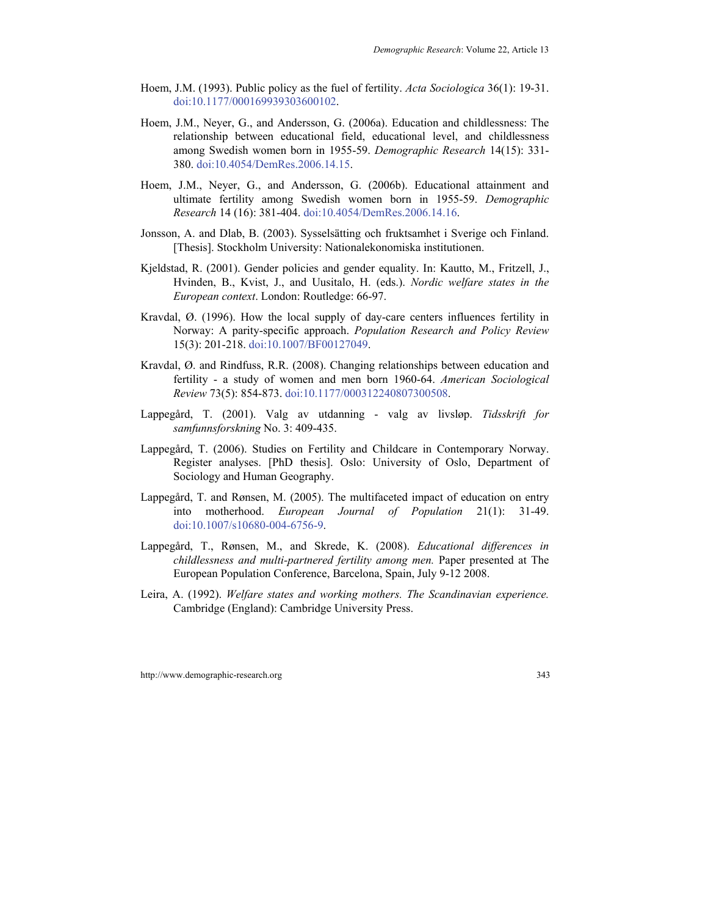- Hoem, J.M. (1993). Public policy as the fuel of fertility. *Acta Sociologica* 36(1): 19-31. [doi:10.1177/000169939303600102.](http://dx.doi.org/10.1177/000169939303600102)
- Hoem, J.M., Neyer, G., and Andersson, G. (2006a). Education and childlessness: The relationship between educational field, educational level, and childlessness among Swedish women born in 1955-59. *Demographic Research* 14(15): 331- 380. [doi:10.4054/DemRes.2006.14.15.](http://dx.doi.org/10.4054/DemRes.2006.14.15)
- Hoem, J.M., Neyer, G., and Andersson, G. (2006b). Educational attainment and ultimate fertility among Swedish women born in 1955-59. *Demographic Research* 14 (16): 381-404. [doi:10.4054/DemRes.2006.14.16](http://dx.doi.org/10.4054/DemRes.2006.14.16).
- Jonsson, A. and Dlab, B. (2003). Sysselsätting och fruktsamhet i Sverige och Finland. [Thesis]. Stockholm University: Nationalekonomiska institutionen.
- Kjeldstad, R. (2001). Gender policies and gender equality. In: Kautto, M., Fritzell, J., Hvinden, B., Kvist, J., and Uusitalo, H. (eds.). *Nordic welfare states in the European context*. London: Routledge: 66-97.
- Kravdal, Ø. (1996). How the local supply of day-care centers influences fertility in Norway: A parity-specific approach. *Population Research and Policy Review* 15(3): 201-218. [doi:10.1007/BF00127049](http://dx.doi.org/10.1007/BF00127049).
- Kravdal, Ø. and Rindfuss, R.R. (2008). Changing relationships between education and fertility - a study of women and men born 1960-64. *American Sociological Review* 73(5): 854-873. [doi:10.1177/000312240807300508](http://dx.doi.org/10.1177/000312240807300508).
- Lappegård, T. (2001). Valg av utdanning valg av livsløp. *Tidsskrift for samfunnsforskning* No. 3: 409-435.
- Lappegård, T. (2006). Studies on Fertility and Childcare in Contemporary Norway. Register analyses. [PhD thesis]. Oslo: University of Oslo, Department of Sociology and Human Geography.
- Lappegård, T. and Rønsen, M. (2005). The multifaceted impact of education on entry into motherhood. *European Journal of Population* 21(1): 31-49. [doi:10.1007/s10680-004-6756-9.](http://dx.doi.org/10.1007/s10680-004-6756-9)
- Lappegård, T., Rønsen, M., and Skrede, K. (2008). *Educational differences in childlessness and multi-partnered fertility among men.* Paper presented at The European Population Conference, Barcelona, Spain, July 9-12 2008.
- Leira, A. (1992). *Welfare states and working mothers. The Scandinavian experience.* Cambridge (England): Cambridge University Press.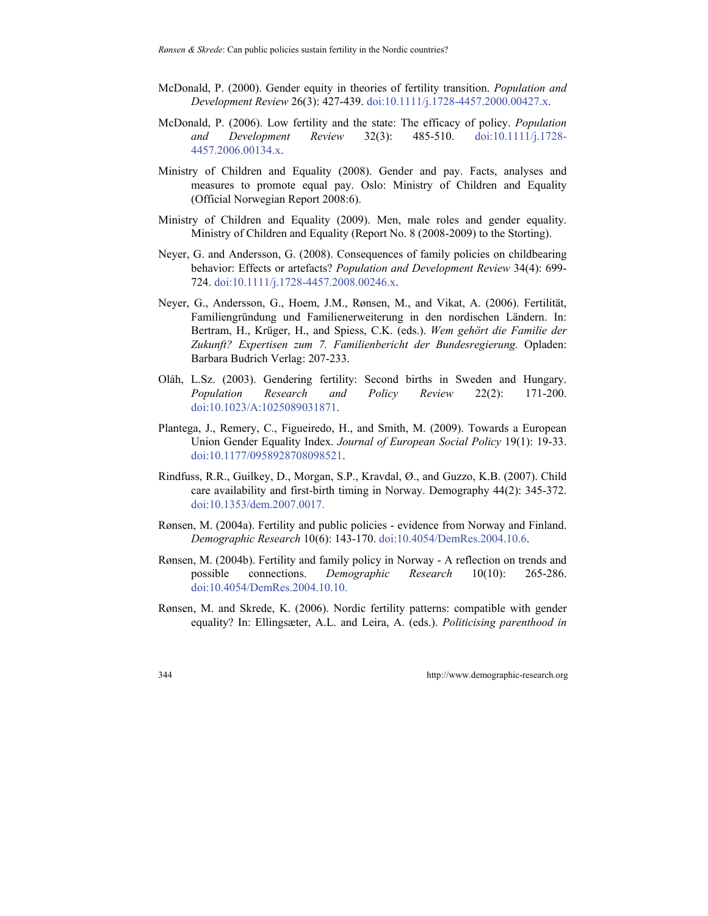- McDonald, P. (2000). Gender equity in theories of fertility transition. *Population and Development Review* 26(3): 427-439. [doi:10.1111/j.1728-4457.2000.00427.x](http://dx.doi.org/10.1111/j.1728-4457.2000.00427.x).
- McDonald, P. (2006). Low fertility and the state: The efficacy of policy. *Population and Development Review* 32(3): 485-510. [doi:10.1111/j.1728-](http://dx.doi.org/10.1111/j.1728-4457.2006.00134.x) [4457.2006.00134.x.](http://dx.doi.org/10.1111/j.1728-4457.2006.00134.x)
- Ministry of Children and Equality (2008). Gender and pay. Facts, analyses and measures to promote equal pay. Oslo: Ministry of Children and Equality (Official Norwegian Report 2008:6).
- Ministry of Children and Equality (2009). Men, male roles and gender equality. Ministry of Children and Equality (Report No. 8 (2008-2009) to the Storting).
- Neyer, G. and Andersson, G. (2008). Consequences of family policies on childbearing behavior: Effects or artefacts? *Population and Development Review* 34(4): 699- 724. [doi:10.1111/j.1728-4457.2008.00246.x](http://dx.doi.org/10.1111/j.1728-4457.2008.00246.x).
- Neyer, G., Andersson, G., Hoem, J.M., Rønsen, M., and Vikat, A. (2006). Fertilität, Familiengründung und Familienerweiterung in den nordischen Ländern. In: Bertram, H., Krüger, H., and Spiess, C.K. (eds.). *Wem gehört die Familie der Zukunft? Expertisen zum 7. Familienbericht der Bundesregierung.* Opladen: Barbara Budrich Verlag: 207-233.
- Oláh, L.Sz. (2003). Gendering fertility: Second births in Sweden and Hungary. *Population Research and Policy Review* 22(2): 171-200. [doi:10.1023/A:1025089031871](http://dx.doi.org/10.1023/A:1025089031871).
- Plantega, J., Remery, C., Figueiredo, H., and Smith, M. (2009). Towards a European Union Gender Equality Index. *Journal of European Social Policy* 19(1): 19-33. [doi:10.1177/0958928708098521](http://dx.doi.org/10.1177/0958928708098521).
- Rindfuss, R.R., Guilkey, D., Morgan, S.P., Kravdal, Ø., and Guzzo, K.B. (2007). Child care availability and first-birth timing in Norway. Demography 44(2): 345-372. [doi:10.1353/dem.2007.0017](http://dx.doi.org/10.1353/dem.2007.0017).
- Rønsen, M. (2004a). Fertility and public policies evidence from Norway and Finland. *Demographic Research* 10(6): 143-170. [doi:10.4054/DemRes.2004.10.6](http://dx.doi.org/10.4054/DemRes.2004.10.6).
- Rønsen, M. (2004b). Fertility and family policy in Norway A reflection on trends and possible connections. *Demographic Research* 10(10): 265-286. [doi:10.4054/DemRes.2004.10.10](http://dx.doi.org/10.4054/DemRes.2004.10.10).
- Rønsen, M. and Skrede, K. (2006). Nordic fertility patterns: compatible with gender equality? In: Ellingsæter, A.L. and Leira, A. (eds.). *Politicising parenthood in*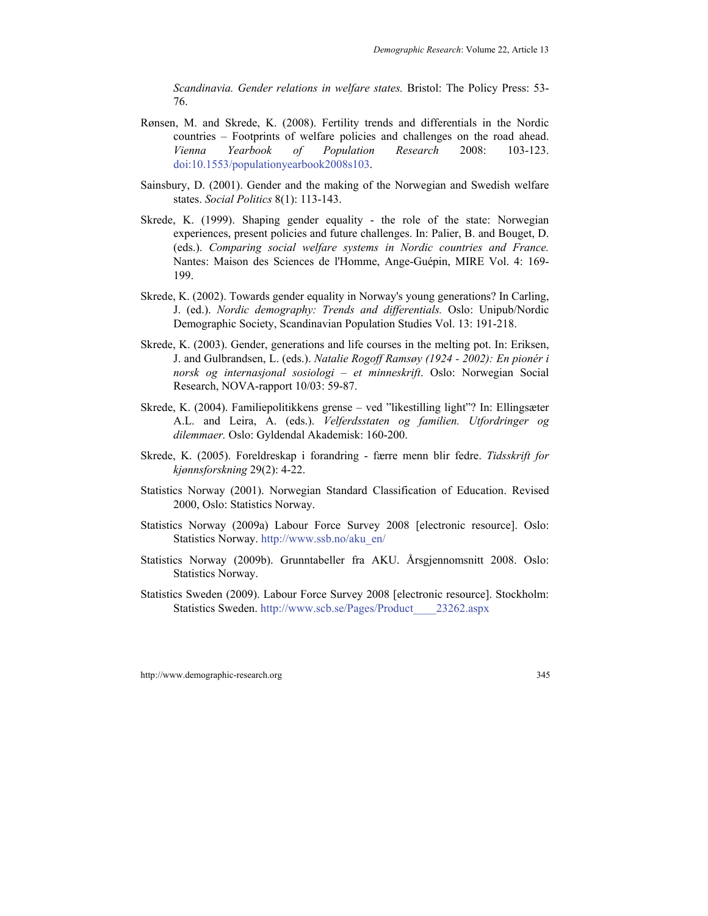*Scandinavia. Gender relations in welfare states.* Bristol: The Policy Press: 53- 76.

- Rønsen, M. and Skrede, K. (2008). Fertility trends and differentials in the Nordic countries – Footprints of welfare policies and challenges on the road ahead. *Vienna Yearbook of Population Research* 2008: 103-123. [doi:10.1553/populationyearbook2008s103.](http://dx.doi.org/10.1553/populationyearbook2008s103)
- Sainsbury, D. (2001). Gender and the making of the Norwegian and Swedish welfare states. *Social Politics* 8(1): 113-143.
- Skrede, K. (1999). Shaping gender equality the role of the state: Norwegian experiences, present policies and future challenges. In: Palier, B. and Bouget, D. (eds.). *Comparing social welfare systems in Nordic countries and France.* Nantes: Maison des Sciences de l'Homme, Ange-Guépin, MIRE Vol. 4: 169- 199.
- Skrede, K. (2002). Towards gender equality in Norway's young generations? In Carling, J. (ed.). *Nordic demography: Trends and differentials.* Oslo: Unipub/Nordic Demographic Society, Scandinavian Population Studies Vol. 13: 191-218.
- Skrede, K. (2003). Gender, generations and life courses in the melting pot. In: Eriksen, J. and Gulbrandsen, L. (eds.). *Natalie Rogoff Ramsøy (1924 - 2002): En pionér i norsk og internasjonal sosiologi – et minneskrift*. Oslo: Norwegian Social Research, NOVA-rapport 10/03: 59-87.
- Skrede, K. (2004). Familiepolitikkens grense ved "likestilling light"? In: Ellingsæter A.L. and Leira, A. (eds.). *Velferdsstaten og familien. Utfordringer og dilemmaer.* Oslo: Gyldendal Akademisk: 160-200.
- Skrede, K. (2005). Foreldreskap i forandring færre menn blir fedre. *Tidsskrift for kjønnsforskning* 29(2): 4-22.
- Statistics Norway (2001). Norwegian Standard Classification of Education. Revised 2000, Oslo: Statistics Norway.
- Statistics Norway (2009a) Labour Force Survey 2008 [electronic resource]. Oslo: Statistics Norway. [http://www.ssb.no/aku\\_en/](http://www.ssb.no/aku_en/)
- Statistics Norway (2009b). Grunntabeller fra AKU. Årsgjennomsnitt 2008. Oslo: Statistics Norway.
- Statistics Sweden (2009). Labour Force Survey 2008 [electronic resource]. Stockholm: Statistics Sweden. [http://www.scb.se/Pages/Product\\_\\_\\_\\_23262.aspx](http://www.scb.se/Pages/Product____23262.aspx)